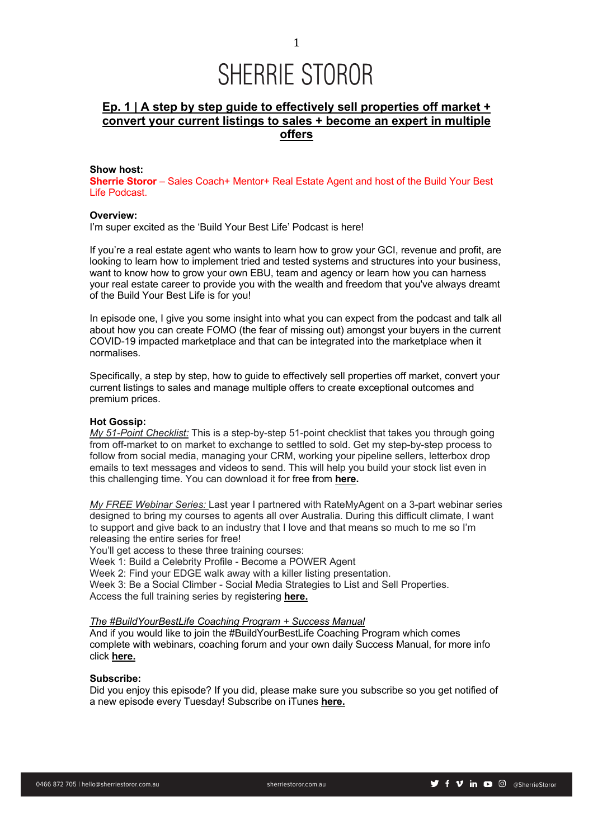### **Ep. 1 | A step by step guide to effectively sell properties off market + convert your current listings to sales + become an expert in multiple offers**

#### **Show host:**

**Sherrie Storor** – Sales Coach+ Mentor+ Real Estate Agent and host of the Build Your Best Life Podcast.

#### **Overview:**

I'm super excited as the 'Build Your Best Life' Podcast is here!

If you're a real estate agent who wants to learn how to grow your GCI, revenue and profit, are looking to learn how to implement tried and tested systems and structures into your business, want to know how to grow your own EBU, team and agency or learn how you can harness your real estate career to provide you with the wealth and freedom that you've always dreamt of the Build Your Best Life is for you!

In episode one, I give you some insight into what you can expect from the podcast and talk all about how you can create FOMO (the fear of missing out) amongst your buyers in the current COVID-19 impacted marketplace and that can be integrated into the marketplace when it normalises.

Specifically, a step by step, how to guide to effectively sell properties off market, convert your current listings to sales and manage multiple offers to create exceptional outcomes and premium prices.

#### **Hot Gossip:**

*My 51-Point Checklist:* This is a step-by-step 51-point checklist that takes you through going from off-market to on market to exchange to settled to sold. Get my step-by-step process to follow from social media, managing your CRM, working your pipeline sellers, letterbox drop emails to text messages and videos to send. This will help you build your stock list even in this challenging time. You can download it for free from **here.**

*My FREE Webinar Series:* Last year I partnered with RateMyAgent on a 3-part webinar series designed to bring my courses to agents all over Australia. During this difficult climate, I want to support and give back to an industry that I love and that means so much to me so I'm releasing the entire series for free!

You'll get access to these three training courses:

Week 1: Build a Celebrity Profile - Become a POWER Agent

Week 2: Find your EDGE walk away with a killer listing presentation.

Week 3: Be a Social Climber - Social Media Strategies to List and Sell Properties. Access the full training series by registering **here.**

#### *The #BuildYourBestLife Coaching Program + Success Manual*

And if you would like to join the #BuildYourBestLife Coaching Program which comes complete with webinars, coaching forum and your own daily Success Manual, for more info click **here.**

#### **Subscribe:**

Did you enjoy this episode? If you did, please make sure you subscribe so you get notified of a new episode every Tuesday! Subscribe on iTunes **here.**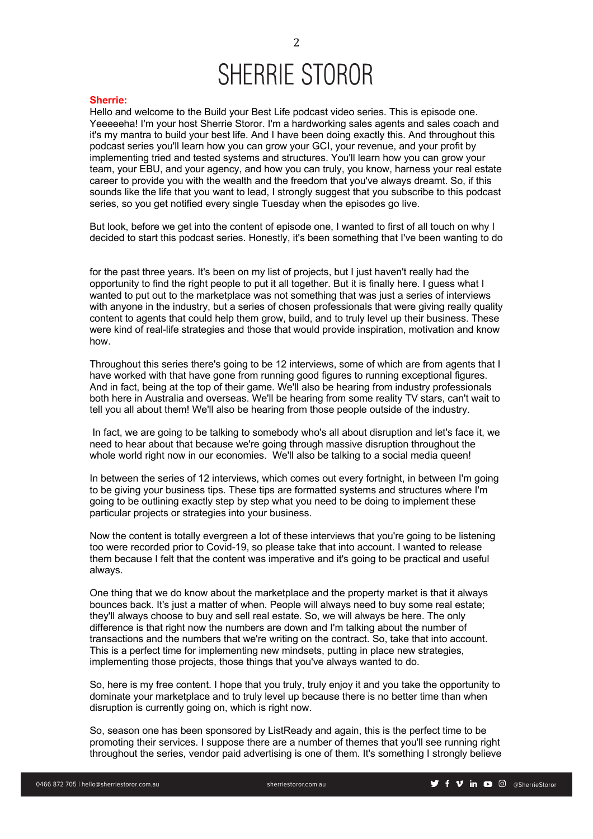#### **Sherrie:**

Hello and welcome to the Build your Best Life podcast video series. This is episode one. Yeeeeeha! I'm your host Sherrie Storor. I'm a hardworking sales agents and sales coach and it's my mantra to build your best life. And I have been doing exactly this. And throughout this podcast series you'll learn how you can grow your GCI, your revenue, and your profit by implementing tried and tested systems and structures. You'll learn how you can grow your team, your EBU, and your agency, and how you can truly, you know, harness your real estate career to provide you with the wealth and the freedom that you've always dreamt. So, if this sounds like the life that you want to lead, I strongly suggest that you subscribe to this podcast series, so you get notified every single Tuesday when the episodes go live.

But look, before we get into the content of episode one, I wanted to first of all touch on why I decided to start this podcast series. Honestly, it's been something that I've been wanting to do

for the past three years. It's been on my list of projects, but I just haven't really had the opportunity to find the right people to put it all together. But it is finally here. I guess what I wanted to put out to the marketplace was not something that was just a series of interviews with anyone in the industry, but a series of chosen professionals that were giving really quality content to agents that could help them grow, build, and to truly level up their business. These were kind of real-life strategies and those that would provide inspiration, motivation and know how.

Throughout this series there's going to be 12 interviews, some of which are from agents that I have worked with that have gone from running good figures to running exceptional figures. And in fact, being at the top of their game. We'll also be hearing from industry professionals both here in Australia and overseas. We'll be hearing from some reality TV stars, can't wait to tell you all about them! We'll also be hearing from those people outside of the industry.

In fact, we are going to be talking to somebody who's all about disruption and let's face it, we need to hear about that because we're going through massive disruption throughout the whole world right now in our economies. We'll also be talking to a social media queen!

In between the series of 12 interviews, which comes out every fortnight, in between I'm going to be giving your business tips. These tips are formatted systems and structures where I'm going to be outlining exactly step by step what you need to be doing to implement these particular projects or strategies into your business.

Now the content is totally evergreen a lot of these interviews that you're going to be listening too were recorded prior to Covid-19, so please take that into account. I wanted to release them because I felt that the content was imperative and it's going to be practical and useful always.

One thing that we do know about the marketplace and the property market is that it always bounces back. It's just a matter of when. People will always need to buy some real estate; they'll always choose to buy and sell real estate. So, we will always be here. The only difference is that right now the numbers are down and I'm talking about the number of transactions and the numbers that we're writing on the contract. So, take that into account. This is a perfect time for implementing new mindsets, putting in place new strategies, implementing those projects, those things that you've always wanted to do.

So, here is my free content. I hope that you truly, truly enjoy it and you take the opportunity to dominate your marketplace and to truly level up because there is no better time than when disruption is currently going on, which is right now.

So, season one has been sponsored by ListReady and again, this is the perfect time to be promoting their services. I suppose there are a number of themes that you'll see running right throughout the series, vendor paid advertising is one of them. It's something I strongly believe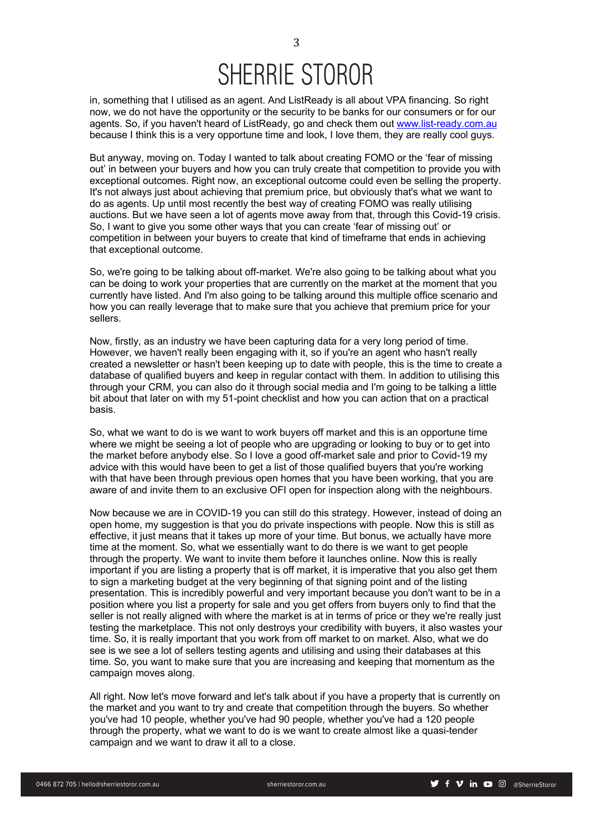in, something that I utilised as an agent. And ListReady is all about VPA financing. So right now, we do not have the opportunity or the security to be banks for our consumers or for our agents. So, if you haven't heard of ListReady, go and check them out www.list-ready.com.au because I think this is a very opportune time and look, I love them, they are really cool guys.

But anyway, moving on. Today I wanted to talk about creating FOMO or the 'fear of missing out' in between your buyers and how you can truly create that competition to provide you with exceptional outcomes. Right now, an exceptional outcome could even be selling the property. It's not always just about achieving that premium price, but obviously that's what we want to do as agents. Up until most recently the best way of creating FOMO was really utilising auctions. But we have seen a lot of agents move away from that, through this Covid-19 crisis. So, I want to give you some other ways that you can create 'fear of missing out' or competition in between your buyers to create that kind of timeframe that ends in achieving that exceptional outcome.

So, we're going to be talking about off-market. We're also going to be talking about what you can be doing to work your properties that are currently on the market at the moment that you currently have listed. And I'm also going to be talking around this multiple office scenario and how you can really leverage that to make sure that you achieve that premium price for your sellers.

Now, firstly, as an industry we have been capturing data for a very long period of time. However, we haven't really been engaging with it, so if you're an agent who hasn't really created a newsletter or hasn't been keeping up to date with people, this is the time to create a database of qualified buyers and keep in regular contact with them. In addition to utilising this through your CRM, you can also do it through social media and I'm going to be talking a little bit about that later on with my 51-point checklist and how you can action that on a practical basis.

So, what we want to do is we want to work buyers off market and this is an opportune time where we might be seeing a lot of people who are upgrading or looking to buy or to get into the market before anybody else. So I love a good off-market sale and prior to Covid-19 my advice with this would have been to get a list of those qualified buyers that you're working with that have been through previous open homes that you have been working, that you are aware of and invite them to an exclusive OFI open for inspection along with the neighbours.

Now because we are in COVID-19 you can still do this strategy. However, instead of doing an open home, my suggestion is that you do private inspections with people. Now this is still as effective, it just means that it takes up more of your time. But bonus, we actually have more time at the moment. So, what we essentially want to do there is we want to get people through the property. We want to invite them before it launches online. Now this is really important if you are listing a property that is off market, it is imperative that you also get them to sign a marketing budget at the very beginning of that signing point and of the listing presentation. This is incredibly powerful and very important because you don't want to be in a position where you list a property for sale and you get offers from buyers only to find that the seller is not really aligned with where the market is at in terms of price or they we're really just testing the marketplace. This not only destroys your credibility with buyers, it also wastes your time. So, it is really important that you work from off market to on market. Also, what we do see is we see a lot of sellers testing agents and utilising and using their databases at this time. So, you want to make sure that you are increasing and keeping that momentum as the campaign moves along.

All right. Now let's move forward and let's talk about if you have a property that is currently on the market and you want to try and create that competition through the buyers. So whether you've had 10 people, whether you've had 90 people, whether you've had a 120 people through the property, what we want to do is we want to create almost like a quasi-tender campaign and we want to draw it all to a close.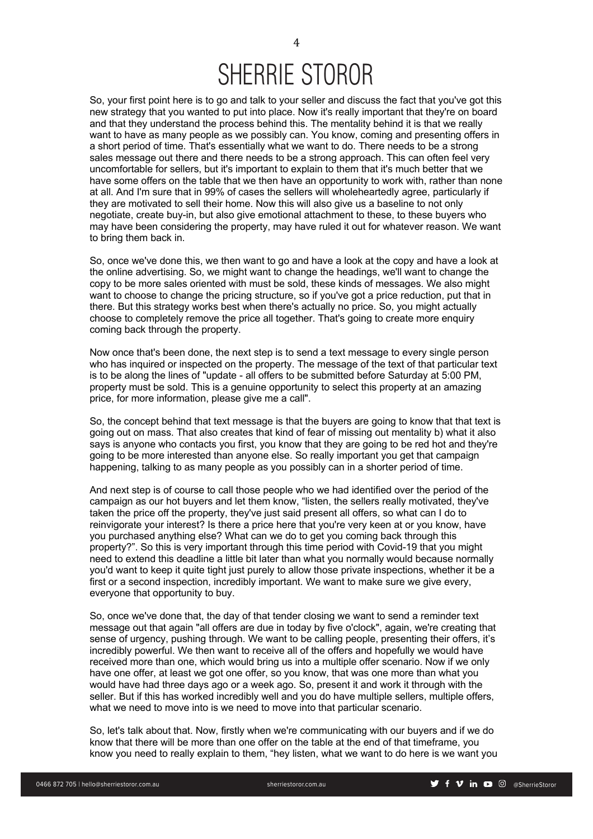So, your first point here is to go and talk to your seller and discuss the fact that you've got this new strategy that you wanted to put into place. Now it's really important that they're on board and that they understand the process behind this. The mentality behind it is that we really want to have as many people as we possibly can. You know, coming and presenting offers in a short period of time. That's essentially what we want to do. There needs to be a strong sales message out there and there needs to be a strong approach. This can often feel very uncomfortable for sellers, but it's important to explain to them that it's much better that we have some offers on the table that we then have an opportunity to work with, rather than none at all. And I'm sure that in 99% of cases the sellers will wholeheartedly agree, particularly if they are motivated to sell their home. Now this will also give us a baseline to not only negotiate, create buy-in, but also give emotional attachment to these, to these buyers who may have been considering the property, may have ruled it out for whatever reason. We want to bring them back in.

So, once we've done this, we then want to go and have a look at the copy and have a look at the online advertising. So, we might want to change the headings, we'll want to change the copy to be more sales oriented with must be sold, these kinds of messages. We also might want to choose to change the pricing structure, so if you've got a price reduction, put that in there. But this strategy works best when there's actually no price. So, you might actually choose to completely remove the price all together. That's going to create more enquiry coming back through the property.

Now once that's been done, the next step is to send a text message to every single person who has inquired or inspected on the property. The message of the text of that particular text is to be along the lines of "update - all offers to be submitted before Saturday at 5:00 PM, property must be sold. This is a genuine opportunity to select this property at an amazing price, for more information, please give me a call".

So, the concept behind that text message is that the buyers are going to know that that text is going out on mass. That also creates that kind of fear of missing out mentality b) what it also says is anyone who contacts you first, you know that they are going to be red hot and they're going to be more interested than anyone else. So really important you get that campaign happening, talking to as many people as you possibly can in a shorter period of time.

And next step is of course to call those people who we had identified over the period of the campaign as our hot buyers and let them know, "listen, the sellers really motivated, they've taken the price off the property, they've just said present all offers, so what can I do to reinvigorate your interest? Is there a price here that you're very keen at or you know, have you purchased anything else? What can we do to get you coming back through this property?". So this is very important through this time period with Covid-19 that you might need to extend this deadline a little bit later than what you normally would because normally you'd want to keep it quite tight just purely to allow those private inspections, whether it be a first or a second inspection, incredibly important. We want to make sure we give every, everyone that opportunity to buy.

So, once we've done that, the day of that tender closing we want to send a reminder text message out that again "all offers are due in today by five o'clock", again, we're creating that sense of urgency, pushing through. We want to be calling people, presenting their offers, it's incredibly powerful. We then want to receive all of the offers and hopefully we would have received more than one, which would bring us into a multiple offer scenario. Now if we only have one offer, at least we got one offer, so you know, that was one more than what you would have had three days ago or a week ago. So, present it and work it through with the seller. But if this has worked incredibly well and you do have multiple sellers, multiple offers, what we need to move into is we need to move into that particular scenario.

So, let's talk about that. Now, firstly when we're communicating with our buyers and if we do know that there will be more than one offer on the table at the end of that timeframe, you know you need to really explain to them, "hey listen, what we want to do here is we want you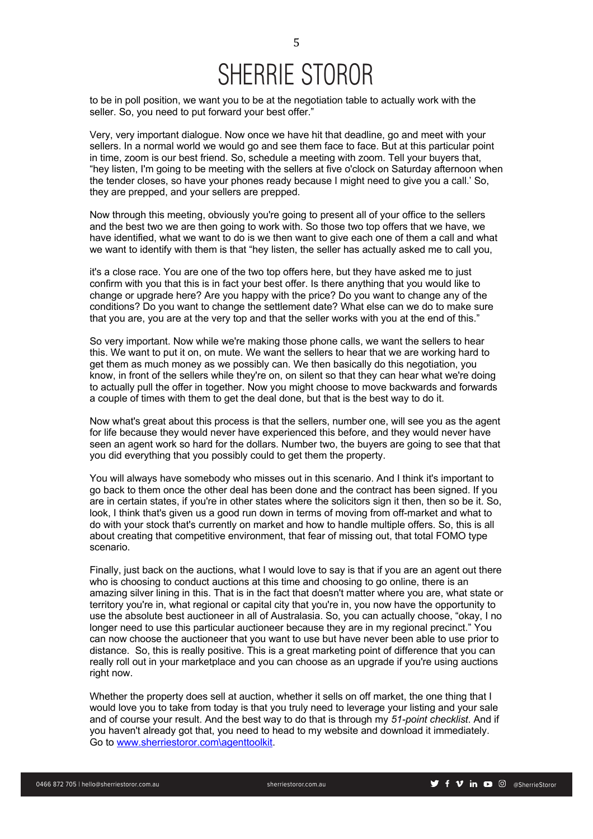to be in poll position, we want you to be at the negotiation table to actually work with the seller. So, you need to put forward your best offer."

Very, very important dialogue. Now once we have hit that deadline, go and meet with your sellers. In a normal world we would go and see them face to face. But at this particular point in time, zoom is our best friend. So, schedule a meeting with zoom. Tell your buyers that, "hey listen, I'm going to be meeting with the sellers at five o'clock on Saturday afternoon when the tender closes, so have your phones ready because I might need to give you a call.' So, they are prepped, and your sellers are prepped.

Now through this meeting, obviously you're going to present all of your office to the sellers and the best two we are then going to work with. So those two top offers that we have, we have identified, what we want to do is we then want to give each one of them a call and what we want to identify with them is that "hey listen, the seller has actually asked me to call you,

it's a close race. You are one of the two top offers here, but they have asked me to just confirm with you that this is in fact your best offer. Is there anything that you would like to change or upgrade here? Are you happy with the price? Do you want to change any of the conditions? Do you want to change the settlement date? What else can we do to make sure that you are, you are at the very top and that the seller works with you at the end of this."

So very important. Now while we're making those phone calls, we want the sellers to hear this. We want to put it on, on mute. We want the sellers to hear that we are working hard to get them as much money as we possibly can. We then basically do this negotiation, you know, in front of the sellers while they're on, on silent so that they can hear what we're doing to actually pull the offer in together. Now you might choose to move backwards and forwards a couple of times with them to get the deal done, but that is the best way to do it.

Now what's great about this process is that the sellers, number one, will see you as the agent for life because they would never have experienced this before, and they would never have seen an agent work so hard for the dollars. Number two, the buyers are going to see that that you did everything that you possibly could to get them the property.

You will always have somebody who misses out in this scenario. And I think it's important to go back to them once the other deal has been done and the contract has been signed. If you are in certain states, if you're in other states where the solicitors sign it then, then so be it. So, look, I think that's given us a good run down in terms of moving from off-market and what to do with your stock that's currently on market and how to handle multiple offers. So, this is all about creating that competitive environment, that fear of missing out, that total FOMO type scenario.

Finally, just back on the auctions, what I would love to say is that if you are an agent out there who is choosing to conduct auctions at this time and choosing to go online, there is an amazing silver lining in this. That is in the fact that doesn't matter where you are, what state or territory you're in, what regional or capital city that you're in, you now have the opportunity to use the absolute best auctioneer in all of Australasia. So, you can actually choose, "okay, I no longer need to use this particular auctioneer because they are in my regional precinct." You can now choose the auctioneer that you want to use but have never been able to use prior to distance. So, this is really positive. This is a great marketing point of difference that you can really roll out in your marketplace and you can choose as an upgrade if you're using auctions right now.

Whether the property does sell at auction, whether it sells on off market, the one thing that I would love you to take from today is that you truly need to leverage your listing and your sale and of course your result. And the best way to do that is through my *51-point checklist*. And if you haven't already got that, you need to head to my website and download it immediately. Go to www.sherriestoror.com\agenttoolkit.